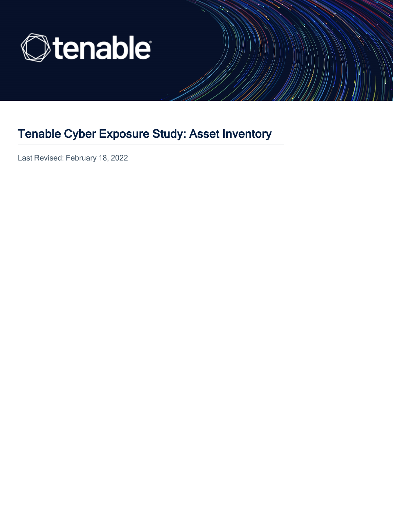

## Tenable Cyber Exposure Study: Asset Inventory

Last Revised: February 18, 2022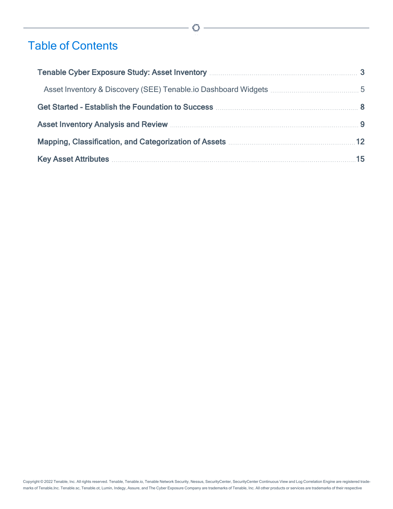## Table of Contents

| Asset Inventory Analysis and Review Material Asset Inventory Analysis and Review Material Asset Inventory Analysis and Review Material Asset Inventory Analysis and Review Material Asset Inventory Analysis and Review Materi |  |
|--------------------------------------------------------------------------------------------------------------------------------------------------------------------------------------------------------------------------------|--|
| Mapping, Classification, and Categorization of Assets <b>Mapping, Classification</b> , and Categorization of Assets <b>Mapping</b>                                                                                             |  |
| Key Asset Attributes <b>Manual Accord 25</b>                                                                                                                                                                                   |  |

 $\mathbb O$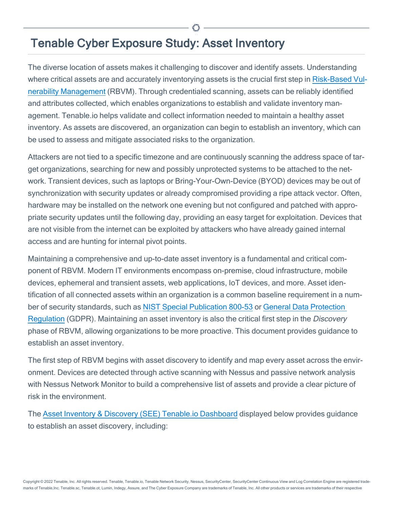## <span id="page-2-0"></span>Tenable Cyber Exposure Study: Asset Inventory

The diverse location of assets makes it challenging to discover and identify assets. Understanding where critical assets are and accurately inventorying assets is the crucial first step in [Risk-Based](#page-8-0) Vulnerability [Management](#page-8-0) (RBVM). Through credentialed scanning, assets can be reliably identified and attributes collected, which enables organizations to establish and validate inventory management. Tenable.io helps validate and collect information needed to maintain a healthy asset inventory. As assets are discovered, an organization can begin to establish an inventory, which can be used to assess and mitigate associated risks to the organization.

Attackers are not tied to a specific timezone and are continuously scanning the address space of target organizations, searching for new and possibly unprotected systems to be attached to the network. Transient devices, such as laptops or Bring-Your-Own-Device (BYOD) devices may be out of synchronization with security updates or already compromised providing a ripe attack vector. Often, hardware may be installed on the network one evening but not configured and patched with appropriate security updates until the following day, providing an easy target for exploitation. Devices that are not visible from the internet can be exploited by attackers who have already gained internal access and are hunting for internal pivot points.

Maintaining a comprehensive and up-to-date asset inventory is a fundamental and critical component of RBVM. Modern IT environments encompass on-premise, cloud infrastructure, mobile devices, ephemeral and transient assets, web applications, IoT devices, and more. Asset identification of all connected assets within an organization is a common baseline requirement in a number of security standards, such as NIST Special [Publication](https://nvlpubs.nist.gov/nistpubs/SpecialPublications/NIST.SP.800-53r5.pdf) 800-53 or General Data [Protection](https://gdpr.eu/) [Regulation](https://gdpr.eu/) (GDPR). Maintaining an asset inventory is also the critical first step in the Discovery phase of RBVM, allowing organizations to be more proactive. This document provides guidance to establish an asset inventory.

The first step of RBVM begins with asset discovery to identify and map every asset across the environment. Devices are detected through active scanning with Nessus and passive network analysis with Nessus Network Monitor to build a comprehensive list of assets and provide a clear picture of risk in the environment.

The Asset Inventory [& Discovery](https://www.tenable.com/tenable-io-dashboards/asset-inventory-and-detection-see) (SEE) Tenable.io Dashboard displayed below provides guidance to establish an asset discovery, including: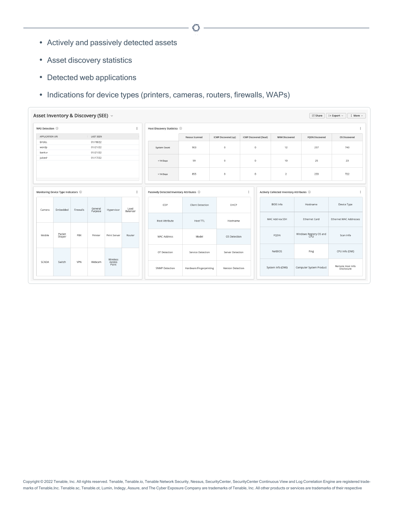- Actively and passively detected assets
- Asset discovery statistics
- Detected web applications
- Indications for device types (printers, cameras, routers, firewalls, WAPs)

| WAS Detection (i) |                                       |           |                    |                    | $\ddot{.}$       | Host Discovery Statistics (i) |                                             |                      |                        |                                             |                         |                               |
|-------------------|---------------------------------------|-----------|--------------------|--------------------|------------------|-------------------------------|---------------------------------------------|----------------------|------------------------|---------------------------------------------|-------------------------|-------------------------------|
| APPLICATION URI   |                                       |           | <b>LAST SEEN</b>   |                    |                  |                               | Nessus Scanned                              | ICMP Discovered (up) | ICMP Discovered (Dead) | NNM Discovered                              | <b>FQDN Discovered</b>  | OS Discovered                 |
| bricks.           |                                       |           | 01/18/22           |                    |                  |                               |                                             |                      |                        |                                             |                         |                               |
| wordp             |                                       |           | 01/21/22           |                    |                  | <b>System Count</b>           | 903                                         | $\circ$              | $\circ$                | 12                                          | 257                     | 740                           |
| bank.v            |                                       |           | 01/21/22           |                    |                  |                               |                                             |                      |                        |                                             |                         |                               |
| juicesh           |                                       |           | 01/17/22           |                    |                  | $<$ 14 Days                   | 59                                          | $\circ$              | $\circ$                | 10                                          | 25                      | 23                            |
|                   |                                       |           |                    |                    |                  | > 14 Days                     | 855                                         | $\circ$              | $\circ$                | $\overline{2}$                              | 233                     | 722                           |
|                   | Monitoring Device Type Indicators (i) |           |                    |                    | $\ddot{.}$       |                               | Passively Detected Inventory Attributes (i) |                      | $\vdots$               | Actively Collected Inventory Attributes (i) |                         |                               |
| Camera            | Embedded                              | Firewalls | General<br>Purpose | Hypervisor         | Load<br>Balancer | CDP                           | <b>Client Detection</b>                     | DHCP                 |                        | <b>BIOS Info</b>                            | Hostname                | Device Type                   |
|                   |                                       |           |                    |                    |                  | <b>Host Attribute</b>         | Host TTL                                    | Hostname             |                        | MAC Add via SSH                             | <b>Ethernet Card</b>    | <b>Ethernet MAC Addresses</b> |
| Mobile            | Packet<br>Shaper                      | PBX       | Printer            | Print Server       | Router           | MAC Address                   | Model                                       | OS Detection         |                        | FQDN                                        | Windows Registry OS and | Scan Info                     |
|                   |                                       |           |                    |                    |                  | OT Detection                  | Service Detection                           | Server Detection     |                        | <b>NetBIOS</b>                              | Ping                    | CPU Info (DMI)                |
|                   | Switch                                | VPN       | Webcam             | Wireless<br>Access |                  |                               |                                             |                      |                        |                                             |                         |                               |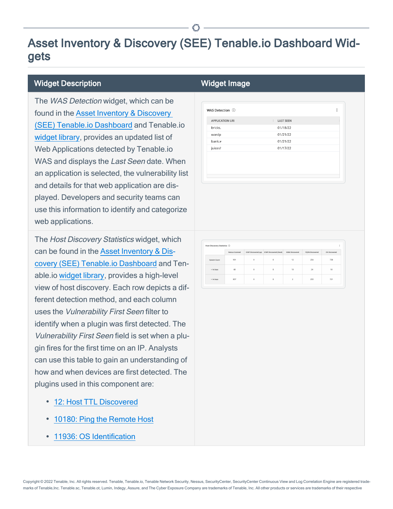## <span id="page-4-0"></span>Asset Inventory & Discovery (SEE) Tenable.io Dashboard Widgets

#### Widget Description Number 2012 1999 Widget Image

The WAS Detection widget, which can be found in the [Asset Inventory](https://www.tenable.com/tenable-io-dashboards/asset-inventory-and-detection-see) & Discovery (SEE) Tenable.io [Dashboard](https://www.tenable.com/tenable-io-dashboards/asset-inventory-and-detection-see) and Tenable.io [widget](https://docs.tenable.com/tenableio/Content/Analysis/ViewWidgetLibrary.htm) library, provides an updated list of Web Applications detected by Tenable.io WAS and displays the Last Seen date. When an application is selected, the vulnerability list and details for that web application are displayed. Developers and security teams can use this information to identify and categorize web applications.

The Host Discovery Statistics widget, which can be found in the [Asset Inventory](https://www.tenable.com/tenable-io-dashboards/asset-inventory-and-detection-see) & Discovery (SEE) Tenable.io [Dashboard](https://www.tenable.com/tenable-io-dashboards/asset-inventory-and-detection-see) and Tenable.io [widget](https://docs.tenable.com/tenableio/Content/Analysis/ViewWidgetLibrary.htm) library, provides a high-level view of host discovery. Each row depicts a different detection method, and each column uses the Vulnerability First Seen filter to identify when a plugin was first detected. The Vulnerability First Seen field is set when a plugin fires for the first time on an IP. Analysts can use this table to gain an understanding of how and when devices are first detected. The plugins used in this component are:

- 12: Host TTL [Discovered](https://www.tenable.com/plugins/nnm/12)
- 10180: Ping the [Remote](https://www.tenable.com/plugins/nessus/10180) Host
- 11936: OS [Identification](https://www.tenable.com/plugins/nessus/11936)

| WAS Detection (i)      |                  |  |
|------------------------|------------------|--|
| <b>APPLICATION URI</b> | <b>LAST SEEN</b> |  |
| bricks.                | 01/18/22         |  |
| wordp                  | 01/21/22         |  |
| bank.w                 | 01/21/22         |  |
| juicesh                | 01/17/22         |  |

| Host Discovery Statistics 1 |                |                      |                        |                |                 | ٠             |
|-----------------------------|----------------|----------------------|------------------------|----------------|-----------------|---------------|
|                             | Nessus Scanned | ICMP Discovered (up) | ICMP Discovered (Dead) | NNM Discovered | FQDN Discovered | OS Discovered |
| System Count                | 901            | 0                    | $\alpha$               | 12             | 256             | 738           |
| $<$ 14 Days                 | 48             | $\circ$              | $\Omega$               | 10             | 24              | 18            |
| $>14$ Days                  | 857            | $\circ$              | $\circ$                | $\overline{2}$ | 233             | 721           |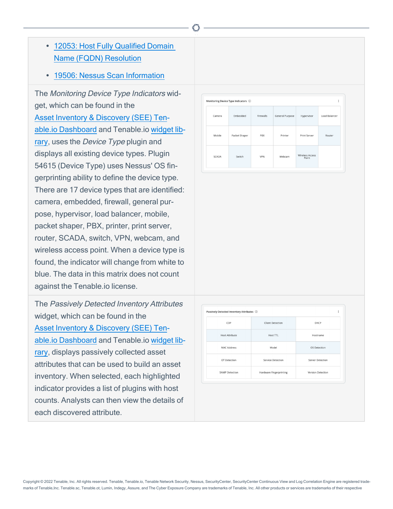- 12053: Host Fully [Qualified](https://www.tenable.com/plugins/nessus/12053) Domain Name (FQDN) [Resolution](https://www.tenable.com/plugins/nessus/12053)
- 19506: Nessus Scan [Information](https://www.tenable.com/plugins/nessus/19506)

The Monitoring Device Type Indicators widget, which can be found in the [Asset Inventory](https://www.tenable.com/tenable-io-dashboards/asset-inventory-and-detection-see) & Discovery (SEE) Tenable.io [Dashboard](https://www.tenable.com/tenable-io-dashboards/asset-inventory-and-detection-see) and Tenable.io [widget](https://docs.tenable.com/tenableio/Content/Analysis/ViewWidgetLibrary.htm) lib[rary,](https://docs.tenable.com/tenableio/Content/Analysis/ViewWidgetLibrary.htm) uses the *Device Type* plugin and displays all existing device types. Plugin 54615 (Device Type) uses Nessus' OS fingerprinting ability to define the device type. There are 17 device types that are identified: camera, embedded, firewall, general purpose, hypervisor, load balancer, mobile, packet shaper, PBX, printer, print server, router, SCADA, switch, VPN, webcam, and wireless access point. When a device type is found, the indicator will change from white to blue. The data in this matrix does not count against the Tenable.io license.

The Passively Detected Inventory Attributes widget, which can be found in the [Asset Inventory](https://www.tenable.com/tenable-io-dashboards/asset-inventory-and-detection-see) & Discovery (SEE) Tenable.io [Dashboard](https://www.tenable.com/tenable-io-dashboards/asset-inventory-and-detection-see) and Tenable.io [widget](https://docs.tenable.com/tenableio/Content/Analysis/ViewWidgetLibrary.htm) lib[rary,](https://docs.tenable.com/tenableio/Content/Analysis/ViewWidgetLibrary.htm) displays passively collected asset attributes that can be used to build an asset inventory. When selected, each highlighted indicator provides a list of plugins with host counts. Analysts can then view the details of each discovered attribute.

|        | Monitoring Device Type Indicators (i) |            |                 |                                 | ÷             |
|--------|---------------------------------------|------------|-----------------|---------------------------------|---------------|
| Camera | Embedded                              | Firewalls  | General Purpose | Hypervisor                      | Load Balancer |
| Mobile | Packet Shaper                         | PBX        | Printer         | Print Server                    | Router        |
| SCADA  | Switch                                | <b>VPN</b> | Webcam          | <b>Wireless Access</b><br>Point |               |

| Passively Detected Inventory Attributes (i) |                         | İ                 |
|---------------------------------------------|-------------------------|-------------------|
| CDP                                         | <b>Client Detection</b> | DHCP              |
| Host Attribute                              | Host TTL                | Hostname          |
| MAC Address                                 | Model                   | OS Detection      |
| OT Detection                                | Service Detection       | Server Detection  |
| <b>SNMP Detection</b>                       | Hardware Fingerprinting | Version Detection |

Copyright © 2022 Tenable, Inc. All rights reserved. Tenable, Tenable.io, Tenable Network Security, Nessus, SecurityCenter, SecurityCenter Continuous View and Log Correlation Engine are registered trademarks of Tenable,Inc. Tenable.sc, Tenable.ot, Lumin, Indegy, Assure, and The Cyber Exposure Company are trademarks of Tenable, Inc. All other products or services are trademarks of their respective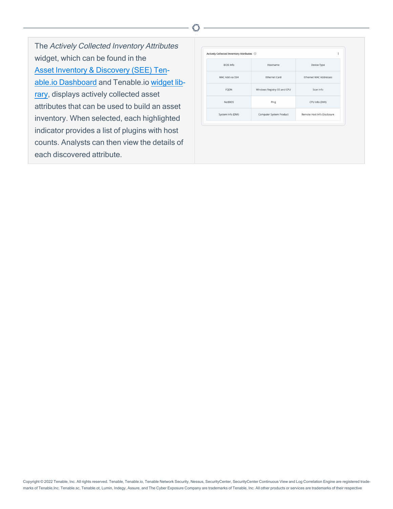The Actively Collected Inventory Attributes widget, which can be found in the [Asset Inventory](https://www.tenable.com/tenable-io-dashboards/asset-inventory-and-detection-see) & Discovery (SEE) Tenable.io [Dashboard](https://www.tenable.com/tenable-io-dashboards/asset-inventory-and-detection-see) and Tenable.io [widget](https://docs.tenable.com/tenableio/Content/Analysis/ViewWidgetLibrary.htm) lib[rary,](https://docs.tenable.com/tenableio/Content/Analysis/ViewWidgetLibrary.htm) displays actively collected asset attributes that can be used to build an asset inventory. When selected, each highlighted indicator provides a list of plugins with host counts. Analysts can then view the details of each discovered attribute.

| Actively Collected Inventory Attributes (i) |                             | ÷                             |
|---------------------------------------------|-----------------------------|-------------------------------|
| <b>BIOS</b> Info                            | Hostname                    | Device Type                   |
| MAC Add via SSH                             | <b>Ethernet Card</b>        | <b>Ethernet MAC Addresses</b> |
| FQDN                                        | Windows Registry OS and CPU | Scan Info                     |
| <b>NetBIOS</b>                              | Ping                        | CPU Info (DMI)                |
| System Info (DMI)                           | Computer System Product     | Remote Host Info Disclosure   |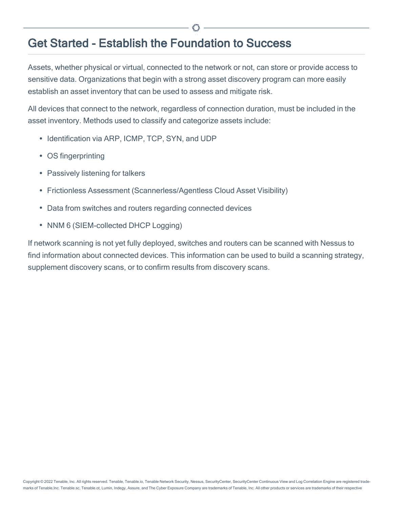## <span id="page-7-0"></span>Get Started - Establish the Foundation to Success

Assets, whether physical or virtual, connected to the network or not, can store or provide access to sensitive data. Organizations that begin with a strong asset discovery program can more easily establish an asset inventory that can be used to assess and mitigate risk.

All devices that connect to the network, regardless of connection duration, must be included in the asset inventory. Methods used to classify and categorize assets include:

- Identification via ARP, ICMP, TCP, SYN, and UDP
- OS fingerprinting
- Passively listening for talkers
- Frictionless Assessment (Scannerless/Agentless Cloud Asset Visibility)
- Data from switches and routers regarding connected devices
- NNM 6 (SIEM-collected DHCP Logging)

If network scanning is not yet fully deployed, switches and routers can be scanned with Nessus to find information about connected devices. This information can be used to build a scanning strategy, supplement discovery scans, or to confirm results from discovery scans.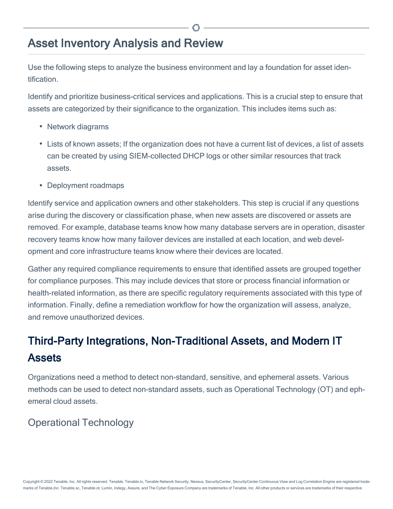## <span id="page-8-0"></span>Asset Inventory Analysis and Review

Use the following steps to analyze the business environment and lay a foundation for asset identification.

Identify and prioritize business-critical services and applications. This is a crucial step to ensure that assets are categorized by their significance to the organization. This includes items such as:

- Network diagrams
- Lists of known assets; If the organization does not have a current list of devices, a list of assets can be created by using SIEM-collected DHCP logs or other similar resources that track assets.
- Deployment roadmaps

Identify service and application owners and other stakeholders. This step is crucial if any questions arise during the discovery or classification phase, when new assets are discovered or assets are removed. For example, database teams know how many database servers are in operation, disaster recovery teams know how many failover devices are installed at each location, and web development and core infrastructure teams know where their devices are located.

Gather any required compliance requirements to ensure that identified assets are grouped together for compliance purposes. This may include devices that store or process financial information or health-related information, as there are specific regulatory requirements associated with this type of information. Finally, define a remediation workflow for how the organization will assess, analyze, and remove unauthorized devices.

# Third-Party Integrations, Non-Traditional Assets, and Modern IT Assets

Organizations need a method to detect non-standard, sensitive, and ephemeral assets. Various methods can be used to detect non-standard assets, such as Operational Technology (OT) and ephemeral cloud assets.

### Operational Technology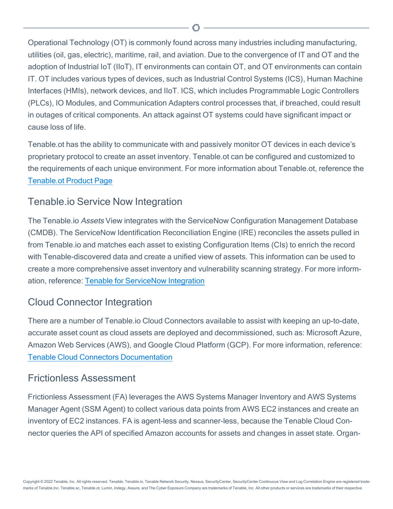Operational Technology (OT) is commonly found across many industries including manufacturing, utilities (oil, gas, electric), maritime, rail, and aviation. Due to the convergence of IT and OT and the adoption of Industrial IoT (IIoT), IT environments can contain OT, and OT environments can contain IT. OT includes various types of devices, such as Industrial Control Systems (ICS), Human Machine Interfaces (HMIs), network devices, and IIoT. ICS, which includes Programmable Logic Controllers (PLCs), IO Modules, and Communication Adapters control processes that, if breached, could result in outages of critical components. An attack against OT systems could have significant impact or cause loss of life.

Tenable.ot has the ability to communicate with and passively monitor OT devices in each device's proprietary protocol to create an asset inventory. Tenable.ot can be configured and customized to the requirements of each unique environment. For more information about Tenable.ot, reference the [Tenable.ot](#https://www.tenable.com/products/tenable-ot) Product Page

#### Tenable.io Service Now Integration

The Tenable.io Assets View integrates with the ServiceNow Configuration Management Database (CMDB). The ServiceNow Identification Reconciliation Engine (IRE) reconciles the assets pulled in from Tenable.io and matches each asset to existing Configuration Items (CIs) to enrich the record with Tenable-discovered data and create a unified view of assets. This information can be used to create a more comprehensive asset inventory and vulnerability scanning strategy. For more information, reference: Tenable for [ServiceNow](#https://docs.tenable.com/integrations/ServiceNow/Content/Welcome.htm) Integration

### Cloud Connector Integration

There are a number of Tenable.io Cloud Connectors available to assist with keeping an up-to-date, accurate asset count as cloud assets are deployed and decommissioned, such as: Microsoft Azure, Amazon Web Services (AWS), and Google Cloud Platform (GCP). For more information, reference: Tenable Cloud Connectors [Documentation](#https://docs.tenable.com/tenableio/Content/Settings/Connectors.htm)

#### Frictionless Assessment

Frictionless Assessment (FA) leverages the AWS Systems Manager Inventory and AWS Systems Manager Agent (SSM Agent) to collect various data points from AWS EC2 instances and create an inventory of EC2 instances. FA is agent-less and scanner-less, because the Tenable Cloud Connector queries the API of specified Amazon accounts for assets and changes in asset state. Organ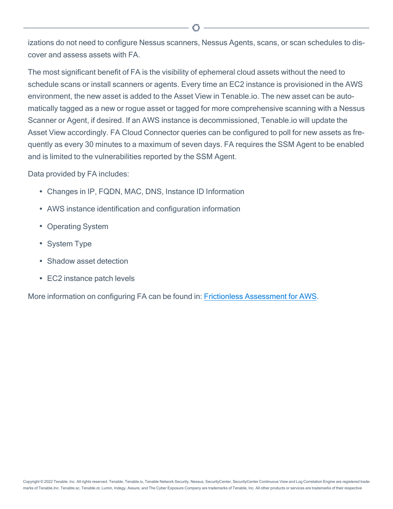izations do not need to configure Nessus scanners, Nessus Agents, scans, or scan schedules to discover and assess assets with FA.

The most significant benefit of FA is the visibility of ephemeral cloud assets without the need to schedule scans or install scanners or agents. Every time an EC2 instance is provisioned in the AWS environment, the new asset is added to the Asset View in Tenable.io. The new asset can be automatically tagged as a new or rogue asset or tagged for more comprehensive scanning with a Nessus Scanner or Agent, if desired. If an AWS instance is decommissioned, Tenable.io will update the Asset View accordingly. FA Cloud Connector queries can be configured to poll for new assets as frequently as every 30 minutes to a maximum of seven days. FA requires the SSM Agent to be enabled and is limited to the vulnerabilities reported by the SSM Agent.

Data provided by FA includes:

- Changes in IP, FQDN, MAC, DNS, Instance ID Information
- AWS instance identification and configuration information
- Operating System
- System Type
- Shadow asset detection
- EC2 instance patch levels

More information on configuring FA can be found in: Frictionless [Assessment](#https://docs.tenable.com/tenableio/Content/Settings/Connectors/AWS/AWSFrictionlessAssessment.htm) for AWS.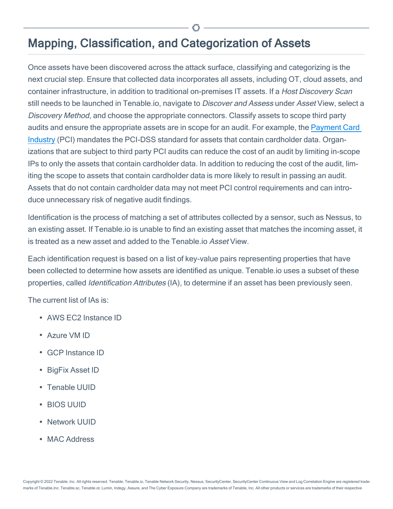## <span id="page-11-0"></span>Mapping, Classification, and Categorization of Assets

Once assets have been discovered across the attack surface, classifying and categorizing is the next crucial step. Ensure that collected data incorporates all assets, including OT, cloud assets, and container infrastructure, in addition to traditional on-premises IT assets. If a Host Discovery Scan still needs to be launched in Tenable.io, navigate to Discover and Assess under Asset View, select a Discovery Method, and choose the appropriate connectors. Classify assets to scope third party audits and ensure the appropriate assets are in scope for an audit. For example, the [Payment](AnalysisAndReview.htm/#https://www.pcisecuritystandards.org/) Card [Industry](AnalysisAndReview.htm/#https://www.pcisecuritystandards.org/) (PCI) mandates the PCI-DSS standard for assets that contain cardholder data. Organizations that are subject to third party PCI audits can reduce the cost of an audit by limiting in-scope IPs to only the assets that contain cardholder data. In addition to reducing the cost of the audit, limiting the scope to assets that contain cardholder data is more likely to result in passing an audit. Assets that do not contain cardholder data may not meet PCI control requirements and can introduce unnecessary risk of negative audit findings.

Identification is the process of matching a set of attributes collected by a sensor, such as Nessus, to an existing asset. If Tenable.io is unable to find an existing asset that matches the incoming asset, it is treated as a new asset and added to the Tenable io Asset View.

Each identification request is based on a list of key-value pairs representing properties that have been collected to determine how assets are identified as unique. Tenable.io uses a subset of these properties, called Identification Attributes (IA), to determine if an asset has been previously seen.

The current list of IAs is:

- AWS FC2 Instance ID
- Azure VM ID
- GCP Instance ID
- BigFix Asset ID
- Tenable UUID
- **· BIOS UUID**
- Network UUID
- MAC Address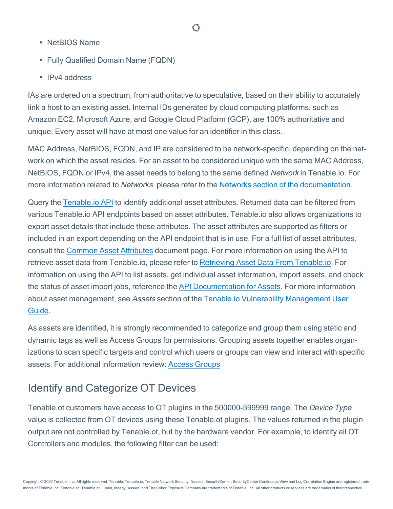- NetBIOS Name
- Fully Qualified Domain Name (FQDN)
- IPv4 address

IAs are ordered on a spectrum, from authoritative to speculative, based on their ability to accurately link a host to an existing asset. Internal IDs generated by cloud computing platforms, such as Amazon EC2, Microsoft Azure, and Google Cloud Platform (GCP), are 100% authoritative and unique. Every asset will have at most one value for an identifier in this class.

MAC Address, NetBIOS, FQDN, and IP are considered to be network-specific, depending on the network on which the asset resides. For an asset to be considered unique with the same MAC Address, NetBIOS, FQDN or IPv4, the asset needs to belong to the same defined Network in Tenable.io. For more information related to Networks, please refer to the Networks section of the [documentation](https://docs.tenable.com/tenableio/Content/Settings/Networks.htm).

Query the [Tenable.io](https://developer.tenable.com/docs/get-started) API to identify additional asset attributes. Returned data can be filtered from various Tenable.io API endpoints based on asset attributes. Tenable.io also allows organizations to export asset details that include these attributes. The asset attributes are supported as filters or included in an export depending on the API endpoint that is in use. For a full list of asset attributes, consult the Common Asset [Attributes](#https://developer.tenable.com/docs/common-asset-attributes) document page. For more information on using the API to retrieve asset data from Tenable.io, please refer to Retrieving Asset Data From [Tenable.io.](#https://developer.tenable.com/docs/retrieve-asset-data-from-tenableio) For information on using the API to list assets, get individual asset information, import assets, and check the status of asset import jobs, reference the API [Documentation](#https://developer.tenable.com/reference#assets) for Assets. For more information about asset management, see Assets section of the Tenable.io Vulnerability [Management](#https://docs.tenable.com/tenableio/vulnerabilitymanagement/Content/Analysis/Assets.htm) User [Guide.](#https://docs.tenable.com/tenableio/vulnerabilitymanagement/Content/Analysis/Assets.htm)

As assets are identified, it is strongly recommended to categorize and group them using static and dynamic tags as well as Access Groups for permissions. Grouping assets together enables organizations to scan specific targets and control which users or groups can view and interact with specific assets. For additional information review: Access [Groups](#https://docs.tenable.com/tenableio/Content/Settings/AccessGroups.htm)

## Identify and Categorize OT Devices

Tenable.ot customers have access to OT plugins in the 500000-599999 range. The Device Type value is collected from OT devices using these Tenable.ot plugins. The values returned in the plugin output are not controlled by Tenable.ot, but by the hardware vendor. For example, to identify all OT Controllers and modules, the following filter can be used: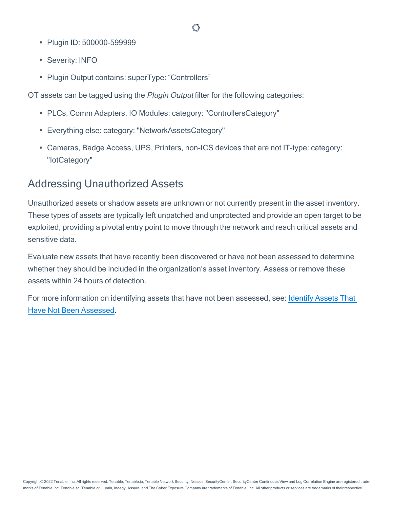- Plugin ID: 500000-599999
- Severity: INFO
- Plugin Output contains: superType: "Controllers"

OT assets can be tagged using the Plugin Output filter for the following categories:

- PLCs, Comm Adapters, IO Modules: category: "ControllersCategory"
- Everything else: category: "NetworkAssetsCategory"
- Cameras, Badge Access, UPS, Printers, non-ICS devices that are not IT-type: category: "IotCategory"

#### Addressing Unauthorized Assets

Unauthorized assets or shadow assets are unknown or not currently present in the asset inventory. These types of assets are typically left unpatched and unprotected and provide an open target to be exploited, providing a pivotal entry point to move through the network and reach critical assets and sensitive data.

Evaluate new assets that have recently been discovered or have not been assessed to determine whether they should be included in the organization's asset inventory. Assess or remove these assets within 24 hours of detection.

For more information on identifying assets that have not been assessed, see: [Identify](#https://docs.tenable.com/tenableio/Content/Scans/ExampleIdentifyUnassessedAssets.htm) Assets That Have Not Been [Assessed](#https://docs.tenable.com/tenableio/Content/Scans/ExampleIdentifyUnassessedAssets.htm).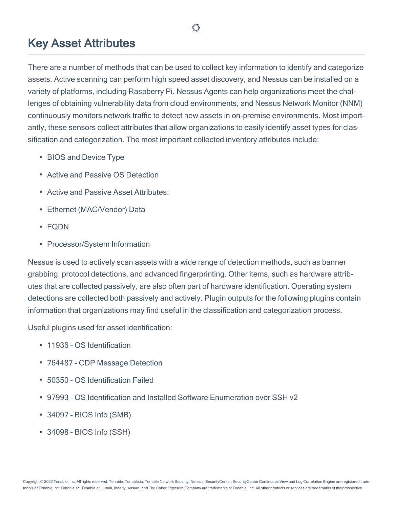## <span id="page-14-0"></span>Key Asset Attributes

There are a number of methods that can be used to collect key information to identify and categorize assets. Active scanning can perform high speed asset discovery, and Nessus can be installed on a variety of platforms, including Raspberry Pi. Nessus Agents can help organizations meet the challenges of obtaining vulnerability data from cloud environments, and Nessus Network Monitor (NNM) continuously monitors network traffic to detect new assets in on-premise environments. Most importantly, these sensors collect attributes that allow organizations to easily identify asset types for classification and categorization. The most important collected inventory attributes include:

- BIOS and Device Type
- Active and Passive OS Detection
- Active and Passive Asset Attributes:
- Ethernet (MAC/Vendor) Data
- FQDN
- Processor/System Information

Nessus is used to actively scan assets with a wide range of detection methods, such as banner grabbing, protocol detections, and advanced fingerprinting. Other items, such as hardware attributes that are collected passively, are also often part of hardware identification. Operating system detections are collected both passively and actively. Plugin outputs for the following plugins contain information that organizations may find useful in the classification and categorization process.

Useful plugins used for asset identification:

- 11936 OS Identification
- 764487 CDP Message Detection
- 50350 OS Identification Failed
- 97993 OS Identification and Installed Software Enumeration over SSH v2
- 34097 BIOS Info (SMB)
- 34098 BIOS Info (SSH)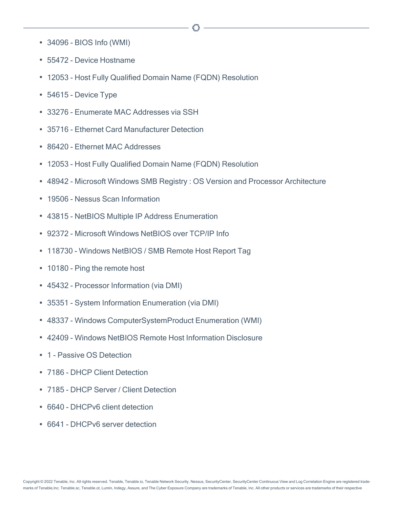- 34096 BIOS Info (WMI)
- 55472 Device Hostname
- 12053 Host Fully Qualified Domain Name (FQDN) Resolution
- 54615 Device Type
- 33276 Enumerate MAC Addresses via SSH
- 35716 Ethernet Card Manufacturer Detection
- 86420 Ethernet MAC Addresses
- 12053 Host Fully Qualified Domain Name (FQDN) Resolution
- 48942 Microsoft Windows SMB Registry : OS Version and Processor Architecture
- 19506 Nessus Scan Information
- 43815 NetBIOS Multiple IP Address Enumeration
- 92372 Microsoft Windows NetBIOS over TCP/IP Info
- 118730 Windows NetBIOS / SMB Remote Host Report Tag
- 10180 Ping the remote host
- 45432 Processor Information (via DMI)
- 35351 System Information Enumeration (via DMI)
- 48337 Windows ComputerSystemProduct Enumeration (WMI)
- 42409 Windows NetBIOS Remote Host Information Disclosure
- 1 Passive OS Detection
- 7186 DHCP Client Detection
- 7185 DHCP Server / Client Detection
- 6640 DHCPv6 client detection
- 6641 DHCPv6 server detection